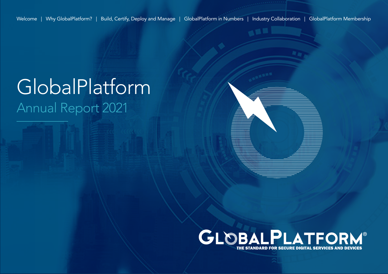Welcome | Why GlobalPlatform? | Build, Certify, Deploy and Manage | GlobalPlatform in Numbers | Industry Collaboration | GlobalPlatform Membership

# GlobalPlatform Annual Report 2021



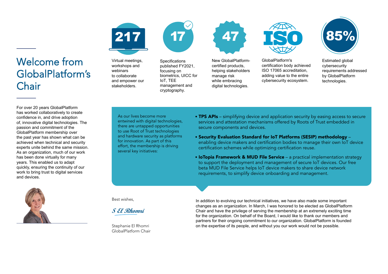

Virtual meetings, workshops and webinars to collaborate and empower our stakeholders



**Specifications** published FY2021, focusing on biometrics, UICC for IoT, TEE management and cryptography.



New GlobalPlatformcertified products, helping stakeholders manage risk while embracing digital technologies.



GlobalPlatform's certification body achieved ISO 17065 accreditation, adding value to the entire cybersecurity ecosystem.



Estimated global cybersecurity requirements addressed by GlobalPlatform technologies.

For over 20 years GlobalPlatform has worked collaboratively to create confidence in, and drive adoption of, innovative digital technologies. The passion and commitment of the GlobalPlatform membership over the past year has shown what can be achieved when technical and security experts unite behind the same mission. As an organization, much of our work has been done virtually for many years. This enabled us to adapt quickly, ensuring the continuity of our work to bring trust to digital services and devices.

Welcome from

**Chair** 

GlobalPlatform's



As our lives become more entwined with digital technologies. there are untapped opportunities to use Root of Trust technologies and hardware security as platforms for innovation. As part of this effort, the membership is driving several key initiatives:

- [TPS APIs](https://globalplatform.org/specs-library/?filter-committee=tps ) simplifying device and application security by easing access to secure services and attestation mechanisms offered by Roots of Trust embedded in secure components and devices.
- [Security Evaluation Standard for IoT Platforms \(SESIP\) methodol](https://globalplatform.org/sesip/ )ogy enabling device makers and certification bodies to manage their own IoT device certification schemes while optimizing certification reuse.
- [IoTopia Framework & MUD File Serv](https://globalplatform.org/iotopia/)ice a practical implementation strategy to support the deployment and management of secure IoT devices. Our free beta MUD File Service helps IoT device makers to share device network requirements, to simplify device onboarding and management.

Best wishes,

**S El Rhomri**

Stephanie El Rhomri GlobalPlatform Chair In addition to evolving our technical initiatives, we have also made some important changes as an organization. In March, I was honored to be elected as GlobalPlatform Chair and have the privilege of serving the membership at an extremely exciting time for the organization. On behalf of the Board, I would like to thank our members and partners for their ongoing commitment to our organization. GlobalPlatform is founded on the expertise of its people, and without you our work would not be possible.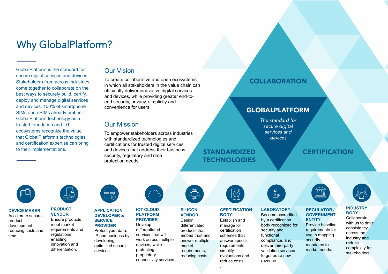# Why GlobalPlatform?

GlobalPlatform is the standard for secure digital services and devices. Stakeholders from across industries come together to collaborate on the best ways to securely build, certify, deploy and manage digital services and devices. 100% of smartphone SIMs and eSIMs already embed GlobalPlatform technology as a trusted foundation and IoT ecosystems recognize the value that GlobalPlatform's technologies and certification expertise can bring

## Our Vision

To create collaborative and open ecosystems in which all stakeholders in the value chain can efficiently deliver innovative digital services and devices, while providing greater end-toend security, privacy, simplicity and convenience for users.

## Our Mission

To empower stakeholders across industries with standardized technologies and certifications for trusted digital services to their implementations. The and devices that address their business, **STANDARDIZED** security, regulatory and data protection needs.

## **COLLABORATION**

## GLOBALPLATFORM

*The standard for secure digital services and devices*

# **TECHNOLOGIES**

**CERTIFICATION** 



### **DEVICE MAKER** Accelerate secure product development, red[ucing costs and](https://globalplatform.org/why-globalplatform/globalplatform-for-device-makers/)  time.



**PRODUCT VENDOR** Ensure products meet market re[quirements and](https://globalplatform.org/why-globalplatform/globalplatform-for-product-vendors/)  regulations enabling innovation and differentiation.

### **APPLICATION DEVELOPER & SERVICE PROVIDER**

Protect your data, [IP and business by](https://globalplatform.org/why-globalplatform/globalplatform-for-application-developers-service-providers/)  developing optimized secure services.



### **IOT CLOUD PLATFORM PROVIDER**

Develop differentiated services that will [work across multip](https://globalplatform.org/why-globalplatform/globalplatform-for-iot-cloud-platform-providers/)le devices, while protecting proprietary connectivity services.

**VENDOR Design** differentiated products that [embed trust and](https://globalplatform.org/why-globalplatform/globalplatform-for-silicon-vendors/) answer multiple market requirements,

reducing costs.

.

**SILICON** 



### **[CERTIFICATIO](https://globalplatform.org/why-globalplatform/globalplatform-for-certification-bodies/)N BODY**

Establish and manage IoT certification schemes that answer specific requirements. simplify evaluations and reduce costs.

.



### **[LABORATOR](https://globalplatform.org/why-globalplatform/globalplatform-for-laboratories/)Y** Become accredited by a certification body recognized for security and functional compliance, and deliver third-party validation services to generate new revenue.

.



### **[REGULATO](https://globalplatform.org/why-globalplatform/globalplatform-for-regulators/)R / GOVERNMENT**

**ENTITY**  Provide baseline requirements for use in mapping security mandates to market needs.



### **[INDUSTRY](https://globalplatform.org/why-globalplatform/globalplatform-for-industry-bodies/ ) BODY** Collaborate

with us to drive consistency across the industry and reduce complexity for stakeholders.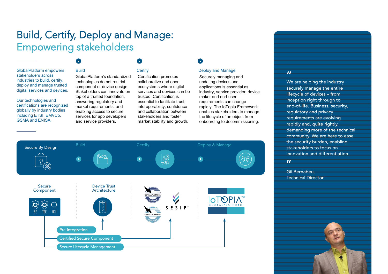# Build, Certify, Deploy and Manage: Empowering stakeholders

### GlobalPlatform empowers stakeholders across industries to build, certify, deploy and manage trusted digital services and devices.

Our technologies and certifications are recognized globally by industry bodies including ETSI, EMVCo, GSMA and ENISA.

### Build

GlobalPlatform's standardized technologies do not restrict component or device design. Stakeholders can innovate on top of a trusted foundation, answering regulatory and market requirements, and enabling access to secure services for app developers and service providers.

# **Certify**

Certification promotes collaborative and open ecosystems where digital services and devices can be trusted. Certification is essential to facilitate trust, interoperability, confidence and collaboration between stakeholders and foster market stability and growth.

### O

### Deploy and Manage

Securely managing and updating devices and applications is essential as industry, service provider, device maker and end-user requirements can change rapidly. The IoTopia Framework enables stakeholders to manage the lifecycle of an object from onboarding to decommissioning.



### $\overline{\mathbf{H}}$

We are helping the industry securely manage the entire lifecycle of devices – from inception right through to end-of-life. Business, security, regulatory and privacy requirements are evolving rapidly and, quite rightly, demanding more of the technical community. We are here to ease the security burden, enabling stakeholders to focus on innovation and differentiation.

 $\overline{H}$ 

Gil Bernabeu, Technical Director

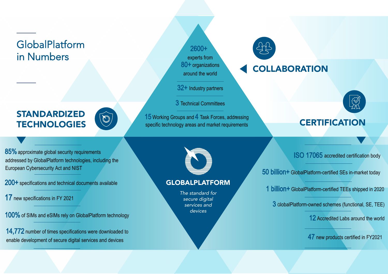# GlobalPlatform in Numbers

STANDARDIZED<br>TECHNOLOGIES

2600+ experts from 80+ organizations around the world

32+ Industry partners

3 Technical Committees

TECHNOLOGIES SERIFICATION 15 Working Groups and 4 Task Forces, addressing

# **COLLABORATION**



85% approximate global security requirements addressed by GlobalPlatform technologies, including the European Cybersecurity Act and NIST

200+ specifications and technical documents available

# 17 new specifications in FY 2021

100% of SIMs and eSIMs rely on GlobalPlatform technology

14,772 number of times specifications were downloaded to enable development of secure digital services and devices



## GLOBALPLATFORM

*The standard for secure digital services and devices*

ISO 17065 accredited certification body

50 billion+ GlobalPlatform-certified SEs in-market today

1 billion+ GlobalPlatform-certified TEEs shipped in 2020

3 <sup>G</sup>lobalPlatform-owned schemes (functional, SE, TEE)

12 Accredited Labs around the world

47 new products certified in FY2021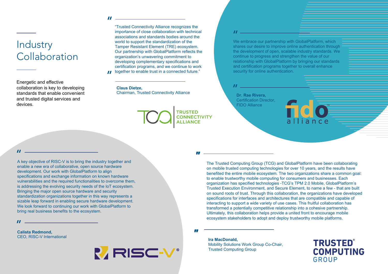$\mathbf{u}$ 

Industry **Collaboration** 

Energetic and effective collaboration is key to developing standards that enable convenient and trusted digital services and devices.

"Trusted Connectivity Alliance recognizes the importance of close collaboration with technical associations and standards bodies around the world to support the standardization of the Tamper Resistant Element (TRE) ecosystem. Our partnership with GlobalPlatform reflects the organization's unwavering commitment to developing complementary specifications and certification programs, and we continue to work *II* together to enable trust in a connected future."

#### **Claus Dietze,**

Chairman, Trusted Connectivity Alliance

**TRUSTED CONNECTIVITY ALLIANCE** 

### $\boldsymbol{H}$

We embrace our partnership with GlobalPlatform, which shares our desire to improve online authentication through the development of open, scalable industry standards. We continue to progress and strengthen the value of our relationship with GlobalPlatform by bringing our standards and certification programs together to overall enhance security for online authentication.

 $H_{\rm 200}$  and  $H_{\rm 200}$ **Dr. Rae Rivera,**

Certification Director, FIDO Alliance

### $\boldsymbol{H}$

A key objective of RISC-V is to bring the industry together and enable a new era of collaborative, open source hardware development. Our work with GlobalPlatform to align specifications and exchange information on known hardware vulnerabilities and the required functionalities to overcome them, is addressing the evolving security needs of the IoT ecosystem. Bringing the major open source hardware and security standardization organizations together in this way represents a sizable leap forward in enabling secure hardware development. We look forward to continuing our work with GlobalPlatform to bring real business benefits to the ecosystem.

 $\boldsymbol{u}$  and  $\boldsymbol{v}$  and  $\boldsymbol{v}$  and  $\boldsymbol{v}$ 

**Calista Redmond,**  CEO, RISC-V International



The Trusted Computing Group (TCG) and GlobalPlatform have been collaborating on mobile trusted computing technologies for over 10 years, and the results have benefited the entire mobile ecosystem. The two organizations share a common goal: to enable trustworthy mobile computing for consumers and businesses. Each organization has specified technologies -TCG's TPM 2.0 Mobile, GlobalPlatform's Trusted Execution Environment, and Secure Element, to name a few - that are built on sound roots of trust. Through this collaboration, the organizations have developed specifications for interfaces and architectures that are compatible and capable of interacting to support a wide variety of use cases. This fruitful collaboration has transformed a potentially competitive relationship into a cohesive partnership. Ultimately, this collaboration helps provide a united front to encourage mobile ecosystem stakeholders to adopt and deploy trustworthy mobile platforms.

*"*

*"*

**Ira MacDonald,** Mobility Solutions Work Group Co-Chair, Trusted Computing Group

**TRUSTED® COMPUTING GROUP**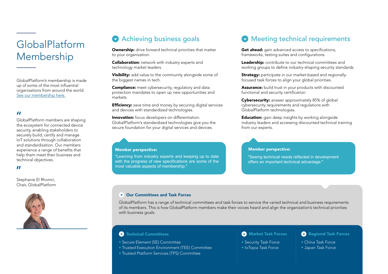# GlobalPlatform Membership

GlobalPlatform's membership is made up of some of the most influential organizations from around the world. [See our membership here.](https://globalplatform.org/current-members/)

### $\boldsymbol{\mathit{II}}$

GlobalPlatform members are shaping the ecosystem for connected device security, enabling stakeholders to securely build, certify and manage IoT solutions through collaboration and standardization. Our members experience a range of benefits that help them meet their business and technical objectives.

### $\blacksquare$

Stephanie El Rhomri, Chair, GlobalPlatform



# **Achieving business goals**

**Ownership:** drive forward technical priorities that matter to your organization.

**Collaboration:** network with industry experts and technology market leaders.

Visibility: add value to the community alongside some of the biggest names in tech.

**Compliance:** meet cybersecurity, regulatory and data protection mandates to open up new opportunities and markets.

**Efficiency:** save time and money by securing digital services and devices with standardized technologies.

**Innovation:** focus developers on differentiation. GlobalPlatform's standardized technologies give you the secure foundation for your digital services and devices.

### Member perspective:

"Learning from industry experts and keeping up to date with the progress of new specifications are some of the most valuable aspects of membership."

## Meeting technical requirements

Get ahead: gain advanced access to specifications, frameworks, testing suites and configurations.

Leadership: contribute to our technical committees and working groups to define industry-shaping security standards.

**Strategy:** participate in our market-based and regionallyfocused task forces to align your global priorities.

Assurance: build trust in your products with discounted functional and security certification.

Cybersecurity: answer approximately 85% of global cybersecurity requirements and regulations with GlobalPlatform technologies.

**Education:** gain deep insights by working alongside industry leaders and accessing discounted technical training from our experts.

### Member perspective:

"Seeing technical needs reflected in development offers an important technical advantage."

### Our Committees and Task Forces

GlobalPlatform has a range of technical committees and task forces to service the varied technical and business requirements of its members. This is how GlobalPlatform members make their voices heard and align the organization's technical priorities with business goals.

### **C** Technical Committees

• Secure Element (SE) Committee

• Trusted Execution Environment (TEE) Committee

• Trusted Platform Services (TPS) Committee

### **Market Task Forces**

• Security Task Force • IoTopia Task Force

### [Regional Task Forces](https://globalplatform.org/task-forces/)

• China Task Force • Japan Task Force